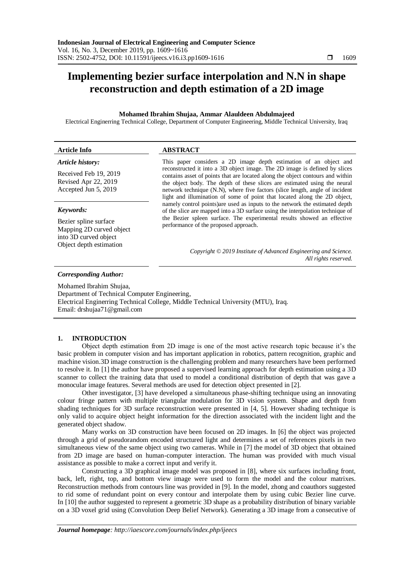# **Implementing bezier surface interpolation and N.N in shape reconstruction and depth estimation of a 2D image**

# **Mohamed Ibrahim Shujaa, Ammar Alauldeen Abdulmajeed**

Electrical Enginerring Technical College, Department of Computer Engineering, Middle Technical University, Iraq

| <b>Article Info</b>                                                   | <b>ABSTRACT</b>                                                                                                                                                                                                                                                                                                                                                                                        |
|-----------------------------------------------------------------------|--------------------------------------------------------------------------------------------------------------------------------------------------------------------------------------------------------------------------------------------------------------------------------------------------------------------------------------------------------------------------------------------------------|
| Article history:                                                      | This paper considers a 2D image depth estimation of an object and                                                                                                                                                                                                                                                                                                                                      |
| Received Feb 19, 2019<br>Revised Apr 22, 2019<br>Accepted Jun 5, 2019 | reconstructed it into a 3D object image. The 2D image is defined by slices<br>contains asset of points that are located along the object contours and within<br>the object body. The depth of these slices are estimated using the neural<br>network technique (N.N), where five factors (slice length, angle of incident<br>light and illumination of some of point that located along the 2D object, |
| Keywords:                                                             | namely control points) are used as inputs to the network the estimated depth<br>of the slice are mapped into a 3D surface using the interpolation technique of                                                                                                                                                                                                                                         |

performance of the proposed approach.

Bezier spline surface Mapping 2D curved object into 3D curved object Object depth estimation

## *Copyright © 2019 Institute of Advanced Engineering and Science. All rights reserved.*

the Bezier spleen surface. The experimental results showed an effective

#### *Corresponding Author:*

Mohamed Ibrahim Shujaa, Department of Technical Computer Engineering, Electrical Enginerring Technical College, Middle Technical University (MTU), Iraq. Email: [drshujaa71@gmail.com](mailto:drshujaa71@gmail.com)

# **1. INTRODUCTION**

Object depth estimation from 2D image is one of the most active research topic because it's the basic problem in computer vision and has important application in robotics, pattern recognition, graphic and machine vision.3D image construction is the challenging problem and many researchers have been performed to resolve it. In [1] the author have proposed a supervised learning approach for depth estimation using a 3D scanner to collect the training data that used to model a conditional distribution of depth that was gave a monocular image features. Several methods are used for detection object presented in [2].

Other investigator, [3] have developed a simultaneous phase-shifting technique using an innovating colour fringe pattern with multiple triangular modulation for 3D vision system. Shape and depth from shading techniques for 3D surface reconstruction were presented in [4, 5]. However shading technique is only valid to acquire object height information for the direction associated with the incident light and the generated object shadow.

Many works on 3D construction have been focused on 2D images. In [6] the object was projected through a grid of pseudorandom encoded structured light and determines a set of references pixels in two simultaneous view of the same object using two cameras. While in [7] the model of 3D object that obtained from 2D image are based on human-computer interaction. The human was provided with much visual assistance as possible to make a correct input and verify it.

Constructing a 3D graphical image model was proposed in [8], where six surfaces including front, back, left, right, top, and bottom view image were used to form the model and the colour matrixes. Reconstruction methods from contours line was provided in [9]. In the model, zhong and coauthors suggested to rid some of redundant point on every contour and interpolate them by using cubic Bezier line curve. In [10] the author suggested to represent a geometric 3D shape as a probability distribution of binary variable on a 3D voxel grid using (Convolution Deep Belief Network). Generating a 3D image from a consecutive of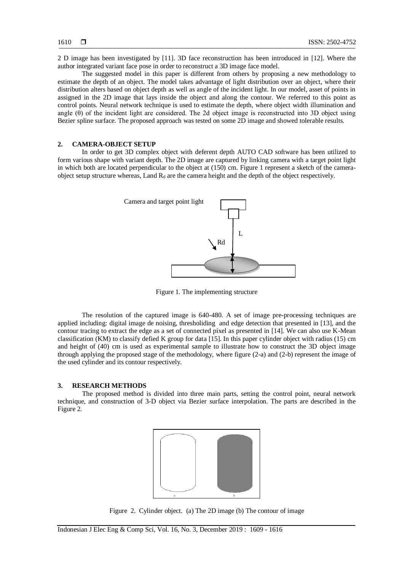2 D image has been investigated by [11]. 3D face reconstruction has been introduced in [12]. Where the author integrated variant face pose in order to reconstruct a 3D image face model.

The suggested model in this paper is different from others by proposing a new methodology to estimate the depth of an object. The model takes advantage of light distribution over an object, where their distribution alters based on object depth as well as angle of the incident light. In our model, asset of points in assigned in the 2D image that lays inside the object and along the contour. We referred to this point as control points. Neural network technique is used to estimate the depth, where object width illumination and angle  $(\theta)$  of the incident light are considered. The 2d object image is reconstructed into 3D object using Bezier spline surface. The proposed approach was tested on some 2D image and showed tolerable results.

# **2. CAMERA-OBJECT SETUP**

In order to get 3D complex object with deferent depth AUTO CAD software has been utilized to form various shape with variant depth. The 2D image are captured by linking camera with a target point light in which both are located perpendicular to the object at (150) cm. Figure 1 represent a sketch of the cameraobject setup structure whereas, Land  $R_d$  are the camera height and the depth of the object respectively.



Figure 1. The implementing structure

The resolution of the captured image is 640-480. A set of image pre-processing techniques are applied including: digital image de noising, thresholiding and edge detection that presented in [13], and the contour tracing to extract the edge as a set of connected pixel as presented in [14]. We can also use K-Mean classification (KM) to classify defied K group for data [15]. In this paper cylinder object with radius (15) cm and height of (40) cm is used as experimental sample to illustrate how to construct the 3D object image through applying the proposed stage of the methodology, where figure (2-a) and (2-b) represent the image of the used cylinder and its contour respectively.

## **3. RESEARCH METHODS**

The proposed method is divided into three main parts, setting the control point, neural network technique, and construction of 3-D object via Bezier surface interpolation. The parts are described in the Figure 2.



Figure 2.Cylinder object. (a) The 2D image (b) The contour of image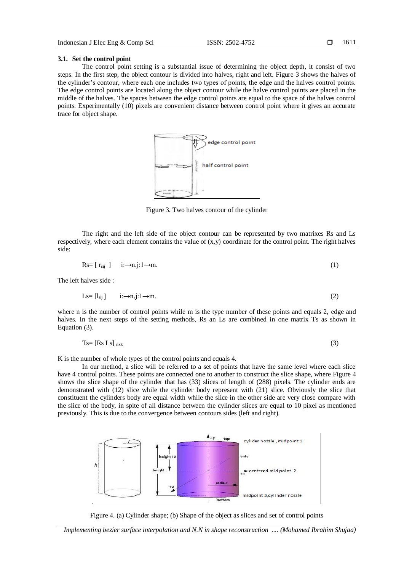#### **3.1. Set the control point**

The control point setting is a substantial issue of determining the object depth, it consist of two steps. In the first step, the object contour is divided into halves, right and left. Figure 3 shows the halves of the cylinder's contour, where each one includes two types of points, the edge and the halves control points. The edge control points are located along the object contour while the halve control points are placed in the middle of the halves. The spaces between the edge control points are equal to the space of the halves control points. Experimentally (10) pixels are convenient distance between control point where it gives an accurate trace for object shape.



Figure 3. Two halves contour of the cylinder

The right and the left side of the object contour can be represented by two matrixes Rs and Ls respectively, where each element contains the value of (x,y) coordinate for the control point. The right halves side:

$$
Rs=[r_{si}] \qquad i:\rightarrow n,j:1\rightarrow m. \tag{1}
$$

The left halves side :

$$
Ls = [l_{sij}] \qquad i: \to n, j: 1 \to m. \tag{2}
$$

where n is the number of control points while m is the type number of these points and equals 2, edge and halves. In the next steps of the setting methods, Rs an Ls are combined in one matrix Ts as shown in Equation (3).

$$
Ts = [Rs Ls]_{nxk} \tag{3}
$$

K is the number of whole types of the control points and equals 4.

In our method, a slice will be referred to a set of points that have the same level where each slice have 4 control points. These points are connected one to another to construct the slice shape, where Figure 4 shows the slice shape of the cylinder that has (33) slices of length of (288) pixels. The cylinder ends are demonstrated with (12) slice while the cylinder body represent with (21) slice. Obviously the slice that constituent the cylinders body are equal width while the slice in the other side are very close compare with the slice of the body, in spite of all distance between the cylinder slices are equal to 10 pixel as mentioned previously. This is due to the convergence between contours sides (left and right).





*Implementing bezier surface interpolation and N.N in shape reconstruction .... (Mohamed Ibrahim Shujaa)*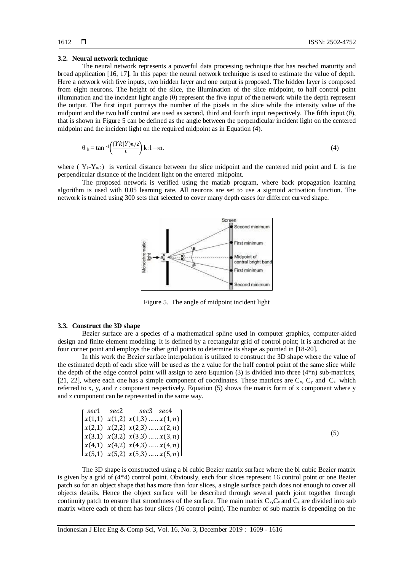(5)

#### **3.2. Neural network technique**

The neural network represents a powerful data processing technique that has reached maturity and broad application [16, 17]. In this paper the neural network technique is used to estimate the value of depth. Here a network with five inputs, two hidden layer and one output is proposed. The hidden layer is composed from eight neurons. The height of the slice, the illumination of the slice midpoint, to half control point illumination and the incident light angle  $(\theta)$  represent the five input of the network while the depth represent the output. The first input portrays the number of the pixels in the slice while the intensity value of the midpoint and the two half control are used as second, third and fourth input respectively. The fifth input (θ), that is shown in Figure 5 can be defined as the angle between the perpendicular incident light on the centered midpoint and the incident light on the required midpoint as in Equation (4).

$$
\theta_k = \tan^{-1}\left(\frac{(Yk|Y)n/2}{L}\right)k:1 \to n. \tag{4}
$$

where ( $Y_k - Y_{n/2}$ ) is vertical distance between the slice midpoint and the cantered mid point and L is the perpendicular distance of the incident light on the entered midpoint.

The proposed network is verified using the matlab program, where back propagation learning algorithm is used with 0.05 learning rate. All neurons are set to use a sigmoid activation function. The network is trained using 300 sets that selected to cover many depth cases for different curved shape.



Figure 5. The angle of midpoint incident light

#### **3.3. Construct the 3D shape**

Bezier surface are a species of a mathematical spline used in computer graphics, computer-aided design and finite element modeling. It is defined by a rectangular grid of control point; it is anchored at the four corner point and employs the other grid points to determine its shape as pointed in [18-20].

In this work the Bezier surface interpolation is utilized to construct the 3D shape where the value of the estimated depth of each slice will be used as the z value for the half control point of the same slice while the depth of the edge control point will assign to zero Equation (3) is divided into three (4\*n) sub-matrices, [21, 22], where each one has a simple component of coordinates. These matrices are  $C_x$ ,  $C_y$  and  $C_z$  which referred to x, y, and z component respectively. Equation (5) shows the matrix form of x component where y and z component can be represented in the same way.

| rsec1 sec2 | sec3 sec4                                                    |  |
|------------|--------------------------------------------------------------|--|
|            | $\left[ x(1,1) \ x(1,2) \ x(1,3) \dots x(1,n) \right]$       |  |
|            | $\left[x(2,1) \quad x(2,2) \quad x(2,3) \dots x(2,n)\right]$ |  |
|            | $\left[ x(3,1) \right] x(3,2) x(3,3) \dots x(3,n)$           |  |
|            | $\left[ x(4,1) \right] x(4,2) x(4,3) \dots x(4,n)$           |  |
|            | $\lfloor x(5,1) \ x(5,2) \ x(5,3) \dots x(5,n) \rfloor$      |  |

The 3D shape is constructed using a bi cubic Bezier matrix surface where the bi cubic Bezier matrix is given by a grid of (4\*4) control point. Obviously, each four slices represent 16 control point or one Bezier patch so for an object shape that has more than four slices, a single surface patch does not enough to cover all objects details. Hence the object surface will be described through several patch joint together through continuity patch to ensure that smoothness of the surface. The main matrix  $C_x$ ,  $C_y$  and  $C_z$  are divided into sub matrix where each of them has four slices (16 control point). The number of sub matrix is depending on the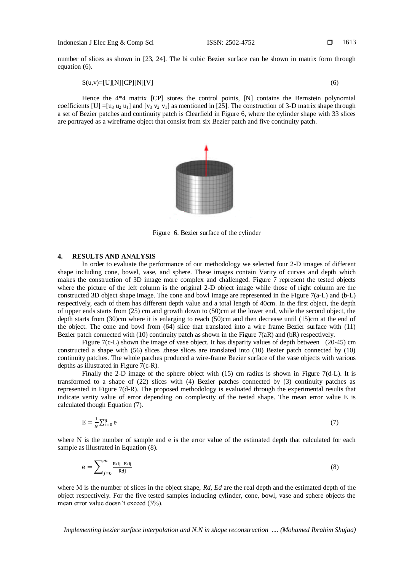number of slices as shown in [23, 24]. The bi cubic Bezier surface can be shown in matrix form through equation (6).

$$
S(u,v) = [U][N][CP][N][V] \tag{6}
$$

Hence the 4\*4 matrix [CP] stores the control points, [N] contains the Bernstein polynomial coefficients  $[U] = [u_3 u_2 u_1]$  and  $[v_3 v_2 v_1]$  as mentioned in [25]. The construction of 3-D matrix shape through a set of Bezier patches and continuity patch is Clearfield in Figure 6, where the cylinder shape with 33 slices are portrayed as a wireframe object that consist from six Bezier patch and five continuity patch.



Figure 6. Bezier surface of the cylinder

# **4. RESULTS AND ANALYSIS**

In order to evaluate the performance of our methodology we selected four 2-D images of different shape including cone, bowel, vase, and sphere. These images contain Varity of curves and depth which makes the construction of 3D image more complex and challenged. Figure 7 represent the tested objects where the picture of the left column is the original 2-D object image while those of right column are the constructed 3D object shape image. The cone and bowl image are represented in the Figure 7(a-L) and (b-L) respectively, each of them has different depth value and a total length of 40cm. In the first object, the depth of upper ends starts from (25) cm and growth down to (50)cm at the lower end, while the second object, the depth starts from (30)cm where it is enlarging to reach (50)cm and then decrease until (15)cm at the end of the object. The cone and bowl from (64) slice that translated into a wire frame Bezier surface with (11) Bezier patch connected with (10) continuity patch as shown in the Figure 7(aR) and (bR) respectively.

Figure 7(c-L) shown the image of vase object. It has disparity values of depth between (20-45) cm constructed a shape with (56) slices .these slices are translated into (10) Bezier patch connected by (10) continuity patches. The whole patches produced a wire-frame Bezier surface of the vase objects with various depths as illustrated in Figure 7(c-R).

Finally the 2-D image of the sphere object with (15) cm radius is shown in Figure 7(d-L). It is transformed to a shape of (22) slices with (4) Bezier patches connected by (3) continuity patches as represented in Figure 7(d-R). The proposed methodology is evaluated through the experimental results that indicate verity value of error depending on complexity of the tested shape. The mean error value E is calculated though Equation (7).

$$
E = \frac{1}{N} \sum_{i=0}^{n} e
$$
 (7)

where N is the number of sample and e is the error value of the estimated depth that calculated for each sample as illustrated in Equation (8).

$$
e = \sum_{j=0}^{m} \frac{Rdj - Edj}{Rdj} \tag{8}
$$

where M is the number of slices in the object shape, *Rd, Ed* are the real depth and the estimated depth of the object respectively. For the five tested samples including cylinder, cone, bowl, vase and sphere objects the mean error value doesn't exceed (3%).

*Implementing bezier surface interpolation and N.N in shape reconstruction .... (Mohamed Ibrahim Shujaa)*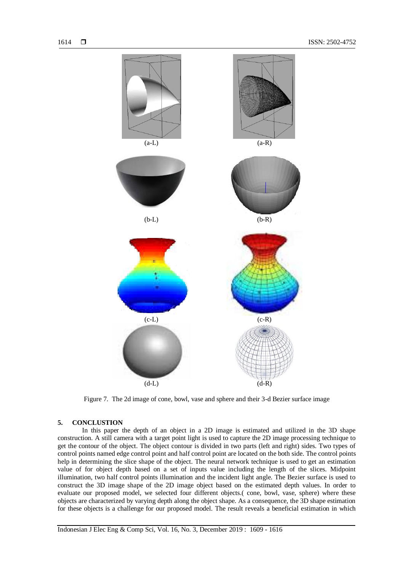

Figure 7. The 2d image of cone, bowl, vase and sphere and their 3-d Bezier surface image

## **5. CONCLUSTION**

In this paper the depth of an object in a 2D image is estimated and utilized in the 3D shape construction. A still camera with a target point light is used to capture the 2D image processing technique to get the contour of the object. The object contour is divided in two parts (left and right) sides. Two types of control points named edge control point and half control point are located on the both side. The control points help in determining the slice shape of the object. The neural network technique is used to get an estimation value of for object depth based on a set of inputs value including the length of the slices. Midpoint illumination, two half control points illumination and the incident light angle. The Bezier surface is used to construct the 3D image shape of the 2D image object based on the estimated depth values. In order to evaluate our proposed model, we selected four different objects.( cone, bowl, vase, sphere) where these objects are characterized by varying depth along the object shape. As a consequence, the 3D shape estimation for these objects is a challenge for our proposed model. The result reveals a beneficial estimation in which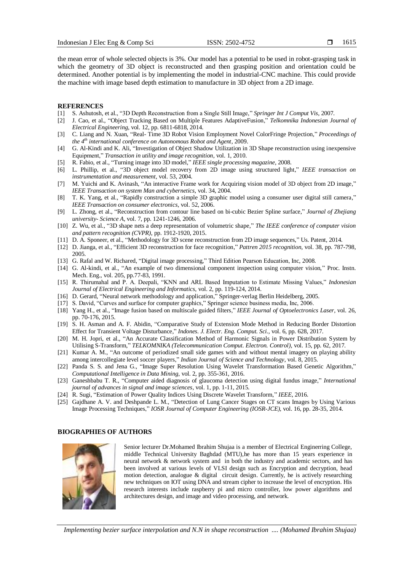1615

the mean error of whole selected objects is 3%. Our model has a potential to be used in robot-grasping task in which the geometry of 3D object is reconstructed and then grasping position and orientation could be determined. Another potential is by implementing the model in industrial-CNC machine. This could provide the machine with image based depth estimation to manufacture in 3D object from a 2D image.

#### **REFERENCES**

- [1] S. Ashutosh, et al., "3D Depth Reconstruction from a Single Still Image," *Springer Int J Comput Vis*, 2007.
- [2] J. Cao, et al., "Object Tracking Based on Multiple Features AdaptiveFusion," *Telkomnika Indonesian Journal of Electrical Engineering*, vol. 12, pp. 6811-6818, 2014.
- [3] C. Liang and N. Xuan, "Real- Time 3D Robot Vision Employment Novel ColorFringe Projection," *Proceedings of the 4th international conference on Autonomous Robot and Agent*, 2009.
- [4] G. Al-Kindi and K. Ali, "Investigation of Object Shadow Utilization in 3D Shape reconstruction using inexpensive Equipment," *Transaction in utility and image recognition*, vol. 1, 2010.
- [5] R. Fabio, et al., "Turning image into 3D model," *IEEE single processing magazine*, 2008.
- [6] L. Phillip, et al., "3D object model recovery from 2D image using structured light," *IEEE transaction on instrumentation and measurement*, vol. 53, 2004.
- [7] M. Yuichi and K. Avinash, "An interactive Frame work for Acquiring vision model of 3D object from 2D image," *IEEE Transaction on system Man and cybernetics*, vol. 34, 2004.
- [8] T. K. Yang, et al., "Rapidly construction a simple 3D graphic model using a consumer user digital still camera," *IEEE Transaction on consumer electronics*, vol. 52, 2006.
- [9] L. Zhong, et al., "Reconstruction from contour line based on bi-cubic Bezier Spline surface," *Journal of Zhejiang university- Science A*, vol. 7, pp. 1241-1246, 2006.
- [10] Z. Wu, et al., "3D shape nets a deep representation of volumetric shape," *The IEEE conference of computer vision and pattern recognition (CVPR)*, pp. 1912-1920, 2015.
- [11] D. A. Sponeer, et al., "Methodology for 3D scene reconstruction from 2D image sequences," Us. Patent, 2014.
- [12] D. Jianga, et al., "Efficient 3D reconstruction for face recognition," *Pattren 2015 recognition*, vol. 38, pp. 787-798, 2005.
- [13] G. Rafal and W. Richared, "Digital image processing," Third Edition Pearson Education, Inc, 2008.
- [14] G. Al-kindi, et al., "An example of two dimensional component inspection using computer vision," Proc. Instn. Mech. Eng., vol. 205, pp.77-83, 1991.
- [15] R. Thirumahal and P. A. Deepali, "KNN and ARL Based Imputation to Estimate Missing Values," *Indonesian Journal of Electrical Engineering and Informatics*, vol. 2, pp. 119-124, 2014.
- [16] D. Gerard, "Neural network methodology and application," Springer-verlag Berlin Heidelberg, 2005.
- [17] S. David, "Curves and surface for computer graphics," Springer science business media, Inc, 2006.
- [18] Yang H., et al., "Image fusion based on multiscale guided filters," *IEEE Journal of Optoelectronics Laser*, vol. 26, pp. 70-176, 2015.
- [19] S. H. Asman and A. F. Abidin, "Comparative Study of Extension Mode Method in Reducing Border Distortion Effect for Transient Voltage Disturbance," *Indones. J. Electr. Eng. Comput. Sci.*, vol. 6, pp. 628, 2017.
- [20] M. H. Jopri, et al., "An Accurate Classification Method of Harmonic Signals in Power Distribution System by Utilising S-Transform," *TELKOMNIKA (Telecommunication Comput. Electron. Control)*, vol. 15, pp. 62, 2017.
- [21] Kumar A. M., "An outcome of periodized small side games with and without mental imagery on playing ability among intercollegiate level soccer players," *Indian Journal of Science and Technology*, vol. 8, 2015.
- [22] Panda S. S. and Jena G., "Image Super Resolution Using Wavelet Transformation Based Genetic Algorithm," *Computational Intelligence in Data Mining*, vol. 2, pp. 355-361, 2016.
- [23] Ganeshbabu T. R., "Computer aided diagnosis of glaucoma detection using digital fundus image," *International journal of advances in signal and image sciences*, vol. 1, pp. 1-11, 2015.
- [24] R. Sugi, "Estimation of Power Quality Indices Using Discrete Wavelet Transform," *IEEE*, 2016.
- [25] Gajdhane A. V. and Deshpande L. M., "Detection of Lung Cancer Stages on CT scans Images by Using Various Image Processing Techniques," *IOSR Journal of Computer Engineering (IOSR-JCE)*, vol. 16, pp. 28-35, 2014.

## **BIOGRAPHIES OF AUTHORS**



Senior lecturer Dr.Mohamed Ibrahim Shujaa is a member of Electrical Enginerring College, middle Technical University Baghdad (MTU),he has more than 15 years experience in neural network & network system and in both the industry and academic sectors, and has been involved at various levels of VLSI design such as Encryption and decryption, head motion detection, analogue  $\&$  digital circuit design. Currently, he is actively researching new techniques on IOT using DNA and stream cipher to increase the level of encryption. His research interests include raspberry pi and micro controller, low power algorithms and architectures design, and image and video processing, and network.

*Implementing bezier surface interpolation and N.N in shape reconstruction .... (Mohamed Ibrahim Shujaa)*